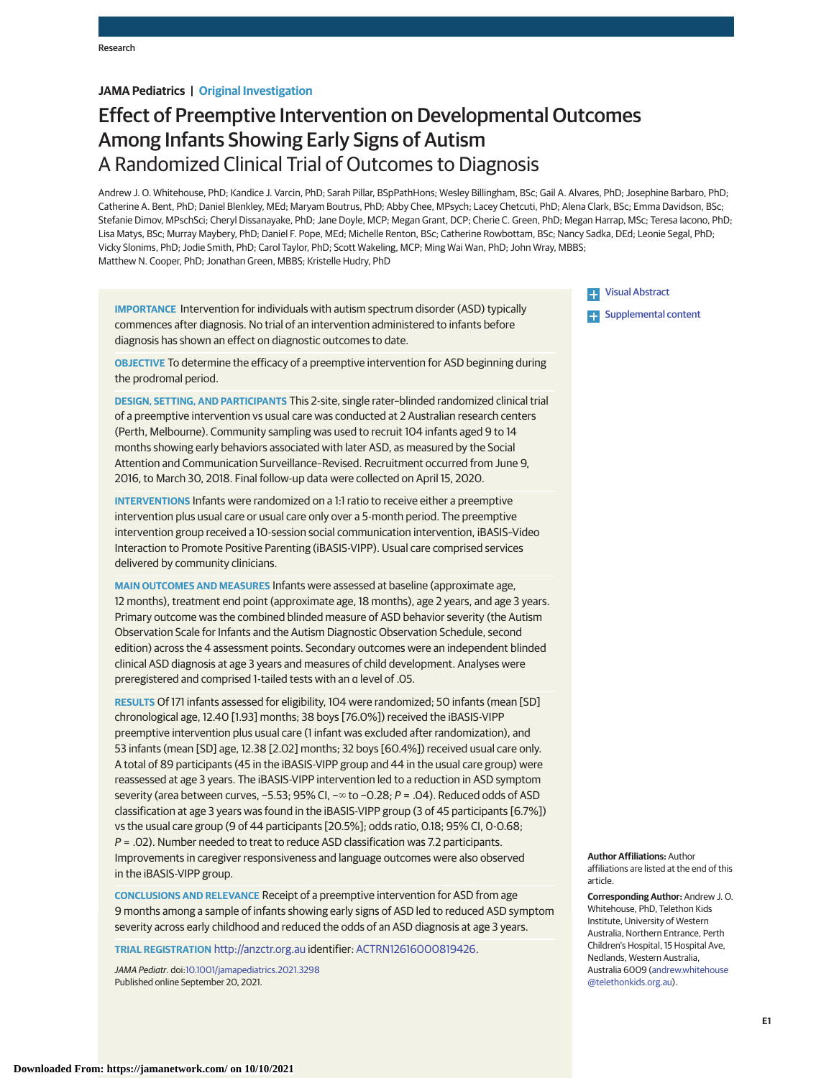# **JAMA Pediatrics | Original Investigation**

# Effect of Preemptive Intervention on Developmental Outcomes Among Infants Showing Early Signs of Autism A Randomized Clinical Trial of Outcomes to Diagnosis

Andrew J. O. Whitehouse, PhD; Kandice J. Varcin, PhD; Sarah Pillar, BSpPathHons; Wesley Billingham, BSc; Gail A. Alvares, PhD; Josephine Barbaro, PhD; Catherine A. Bent, PhD; Daniel Blenkley, MEd; Maryam Boutrus, PhD; Abby Chee, MPsych; Lacey Chetcuti, PhD; Alena Clark, BSc; Emma Davidson, BSc; Stefanie Dimov, MPschSci; Cheryl Dissanayake, PhD; Jane Doyle, MCP; Megan Grant, DCP; Cherie C. Green, PhD; Megan Harrap, MSc; Teresa Iacono, PhD; Lisa Matys, BSc; Murray Maybery, PhD; Daniel F. Pope, MEd; Michelle Renton, BSc; Catherine Rowbottam, BSc; Nancy Sadka, DEd; Leonie Segal, PhD; Vicky Slonims, PhD; Jodie Smith, PhD; Carol Taylor, PhD; Scott Wakeling, MCP; Ming Wai Wan, PhD; John Wray, MBBS; Matthew N. Cooper, PhD; Jonathan Green, MBBS; Kristelle Hudry, PhD

**IMPORTANCE** Intervention for individuals with autism spectrum disorder (ASD) typically commences after diagnosis. No trial of an intervention administered to infants before diagnosis has shown an effect on diagnostic outcomes to date.

**OBJECTIVE** To determine the efficacy of a preemptive intervention for ASD beginning during the prodromal period.

**DESIGN, SETTING, AND PARTICIPANTS** This 2-site, single rater–blinded randomized clinical trial of a preemptive intervention vs usual care was conducted at 2 Australian research centers (Perth, Melbourne). Community sampling was used to recruit 104 infants aged 9 to 14 months showing early behaviors associated with later ASD, as measured by the Social Attention and Communication Surveillance–Revised. Recruitment occurred from June 9, 2016, to March 30, 2018. Final follow-up data were collected on April 15, 2020.

**INTERVENTIONS** Infants were randomized on a 1:1 ratio to receive either a preemptive intervention plus usual care or usual care only over a 5-month period. The preemptive intervention group received a 10-session social communication intervention, iBASIS–Video Interaction to Promote Positive Parenting (iBASIS-VIPP). Usual care comprised services delivered by community clinicians.

**MAIN OUTCOMES AND MEASURES** Infants were assessed at baseline (approximate age, 12 months), treatment end point (approximate age, 18 months), age 2 years, and age 3 years. Primary outcome was the combined blinded measure of ASD behavior severity (the Autism Observation Scale for Infants and the Autism Diagnostic Observation Schedule, second edition) across the 4 assessment points. Secondary outcomes were an independent blinded clinical ASD diagnosis at age 3 years and measures of child development. Analyses were preregistered and comprised 1-tailed tests with an α level of .05.

**RESULTS** Of 171 infants assessed for eligibility, 104 were randomized; 50 infants (mean [SD] chronological age, 12.40 [1.93] months; 38 boys [76.0%]) received the iBASIS-VIPP preemptive intervention plus usual care (1 infant was excluded after randomization), and 53 infants (mean [SD] age, 12.38 [2.02] months; 32 boys [60.4%]) received usual care only. A total of 89 participants (45 in the iBASIS-VIPP group and 44 in the usual care group) were reassessed at age 3 years. The iBASIS-VIPP intervention led to a reduction in ASD symptom severity (area between curves, −5.53; 95% CI, −∞ to −0.28; P = .04). Reduced odds of ASD classification at age 3 years was found in the iBASIS-VIPP group (3 of 45 participants [6.7%]) vs the usual care group (9 of 44 participants [20.5%]; odds ratio, 0.18; 95% CI, 0-0.68; P = .02). Number needed to treat to reduce ASD classification was 7.2 participants. Improvements in caregiver responsiveness and language outcomes were also observed in the iBASIS-VIPP group.

**CONCLUSIONS AND RELEVANCE** Receipt of a preemptive intervention for ASD from age 9 months among a sample of infants showing early signs of ASD led to reduced ASD symptom severity across early childhood and reduced the odds of an ASD diagnosis at age 3 years.

**TRIAL REGISTRATION** <http://anzctr.org.au> identifier: [ACTRN12616000819426.](https://www.anzctr.org.au/Trial/Registration/TrialReview.aspx?id=370877)

JAMA Pediatr. doi[:10.1001/jamapediatrics.2021.3298](https://jamanetwork.com/journals/jama/fullarticle/10.1001/jamapediatrics.2021.3298?utm_campaign=articlePDF%26utm_medium=articlePDFlink%26utm_source=articlePDF%26utm_content=jamapediatrics.2021.3298) Published online September 20, 2021.

[Visual Abstract](https://jamanetwork.com/journals/jama/fullarticle/10.1001/jamapediatrics.2021.3298?utm_campaign=articlePDF%26utm_medium=articlePDFlink%26utm_source=articlePDF%26utm_content=jamapediatrics.2021.3298)

**[Supplemental content](https://jamanetwork.com/journals/ped/fullarticle/10.1001/jamapediatrics.2021.3298?utm_campaign=articlePDF%26utm_medium=articlePDFlink%26utm_source=articlePDF%26utm_content=jamapediatrics.2021.3298)** 

**Author Affiliations:** Author affiliations are listed at the end of this article.

**Corresponding Author:** Andrew J. O. Whitehouse, PhD, Telethon Kids Institute, University of Western Australia, Northern Entrance, Perth Children's Hospital, 15 Hospital Ave, Nedlands, Western Australia, Australia 6009 [\(andrew.whitehouse](mailto:andrew.whitehouse@telethonkids.org.au) [@telethonkids.org.au\)](mailto:andrew.whitehouse@telethonkids.org.au).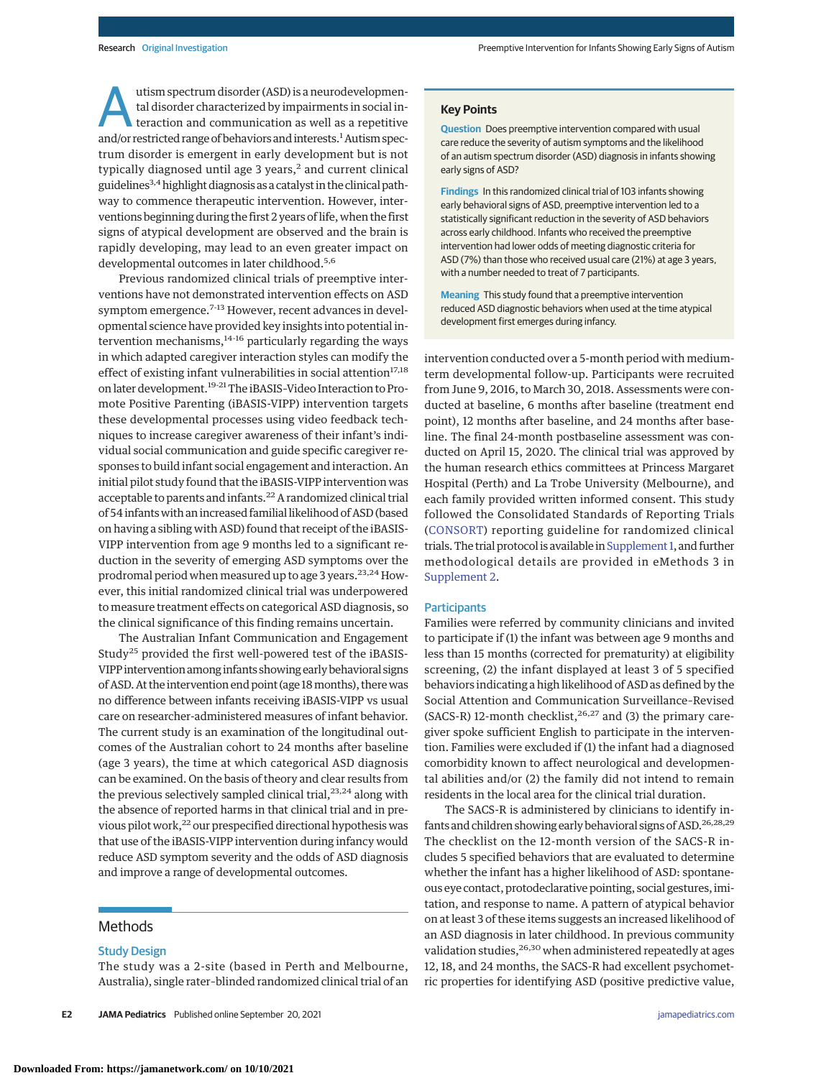utism spectrum disorder (ASD) is a neurodevelopmental disorder characterized by impairments in social interaction and communication as well as a repetitive and/or restricted range of behaviors and interests.<sup>1</sup> Autism spectrum disorder is emergent in early development but is not typically diagnosed until age  $3$  years, $2$  and current clinical guidelines<sup>3,4</sup> highlight diagnosis as a catalyst in the clinical pathway to commence therapeutic intervention. However, interventions beginning during the first 2 years of life, when the first signs of atypical development are observed and the brain is rapidly developing, may lead to an even greater impact on developmental outcomes in later childhood.<sup>5,6</sup>

Previous randomized clinical trials of preemptive interventions have not demonstrated intervention effects on ASD symptom emergence.<sup>7-13</sup> However, recent advances in developmental science have provided key insights into potential intervention mechanisms, $14-16$  particularly regarding the ways in which adapted caregiver interaction styles can modify the effect of existing infant vulnerabilities in social attention<sup>17,18</sup> on later development.<sup>19-21</sup> The iBASIS-Video Interaction to Promote Positive Parenting (iBASIS-VIPP) intervention targets these developmental processes using video feedback techniques to increase caregiver awareness of their infant's individual social communication and guide specific caregiver responses to build infant social engagement and interaction. An initial pilot study found that the iBASIS-VIPP intervention was acceptable to parents and infants.22 A randomized clinical trial of 54 infantswith an increased familial likelihood of ASD (based on having a sibling with ASD) found that receipt of the iBASIS-VIPP intervention from age 9 months led to a significant reduction in the severity of emerging ASD symptoms over the prodromal period when measured up to age 3 years.<sup>23,24</sup> However, this initial randomized clinical trial was underpowered to measure treatment effects on categorical ASD diagnosis, so the clinical significance of this finding remains uncertain.

The Australian Infant Communication and Engagement Study<sup>25</sup> provided the first well-powered test of the iBASIS-VIPP intervention among infants showing early behavioral signs of ASD. At the intervention end point (age 18months), therewas no difference between infants receiving iBASIS-VIPP vs usual care on researcher-administered measures of infant behavior. The current study is an examination of the longitudinal outcomes of the Australian cohort to 24 months after baseline (age 3 years), the time at which categorical ASD diagnosis can be examined. On the basis of theory and clear results from the previous selectively sampled clinical trial,<sup>23,24</sup> along with the absence of reported harms in that clinical trial and in previous pilot work,<sup>22</sup> our prespecified directional hypothesis was that use of the iBASIS-VIPP intervention during infancy would reduce ASD symptom severity and the odds of ASD diagnosis and improve a range of developmental outcomes.

# **Methods**

## Study Design

The study was a 2-site (based in Perth and Melbourne, Australia), single rater–blinded randomized clinical trial of an

#### **Key Points**

**Question** Does preemptive intervention compared with usual care reduce the severity of autism symptoms and the likelihood of an autism spectrum disorder (ASD) diagnosis in infants showing early signs of ASD?

**Findings** In this randomized clinical trial of 103 infants showing early behavioral signs of ASD, preemptive intervention led to a statistically significant reduction in the severity of ASD behaviors across early childhood. Infants who received the preemptive intervention had lower odds of meeting diagnostic criteria for ASD (7%) than those who received usual care (21%) at age 3 years, with a number needed to treat of 7 participants.

**Meaning** This study found that a preemptive intervention reduced ASD diagnostic behaviors when used at the time atypical development first emerges during infancy.

intervention conducted over a 5-month period with mediumterm developmental follow-up. Participants were recruited from June 9, 2016, to March 30, 2018. Assessments were conducted at baseline, 6 months after baseline (treatment end point), 12 months after baseline, and 24 months after baseline. The final 24-month postbaseline assessment was conducted on April 15, 2020. The clinical trial was approved by the human research ethics committees at Princess Margaret Hospital (Perth) and La Trobe University (Melbourne), and each family provided written informed consent. This study followed the Consolidated Standards of Reporting Trials [\(CONSORT\)](https://www.equator-network.org/reporting-guidelines/consort/) reporting guideline for randomized clinical trials. The trial protocol is available in [Supplement 1,](https://jamanetwork.com/journals/jama/fullarticle/10.1001/jamapediatrics.2021.3298?utm_campaign=articlePDF%26utm_medium=articlePDFlink%26utm_source=articlePDF%26utm_content=jamapediatrics.2021.3298) and further methodological details are provided in eMethods 3 in [Supplement 2.](https://jamanetwork.com/journals/jama/fullarticle/10.1001/jamapediatrics.2021.3298?utm_campaign=articlePDF%26utm_medium=articlePDFlink%26utm_source=articlePDF%26utm_content=jamapediatrics.2021.3298)

## **Participants**

Families were referred by community clinicians and invited to participate if (1) the infant was between age 9 months and less than 15 months (corrected for prematurity) at eligibility screening, (2) the infant displayed at least 3 of 5 specified behaviors indicating a high likelihood of ASD as defined by the Social Attention and Communication Surveillance–Revised (SACS-R) 12-month checklist, $26,27$  and (3) the primary caregiver spoke sufficient English to participate in the intervention. Families were excluded if (1) the infant had a diagnosed comorbidity known to affect neurological and developmental abilities and/or (2) the family did not intend to remain residents in the local area for the clinical trial duration.

The SACS-R is administered by clinicians to identify infants and children showing early behavioral signs of ASD.<sup>26,28,29</sup> The checklist on the 12-month version of the SACS-R includes 5 specified behaviors that are evaluated to determine whether the infant has a higher likelihood of ASD: spontaneous eye contact, protodeclarative pointing, social gestures, imitation, and response to name. A pattern of atypical behavior on at least 3 of these items suggests an increased likelihood of an ASD diagnosis in later childhood. In previous community validation studies, <sup>26,30</sup> when administered repeatedly at ages 12, 18, and 24 months, the SACS-R had excellent psychometric properties for identifying ASD (positive predictive value,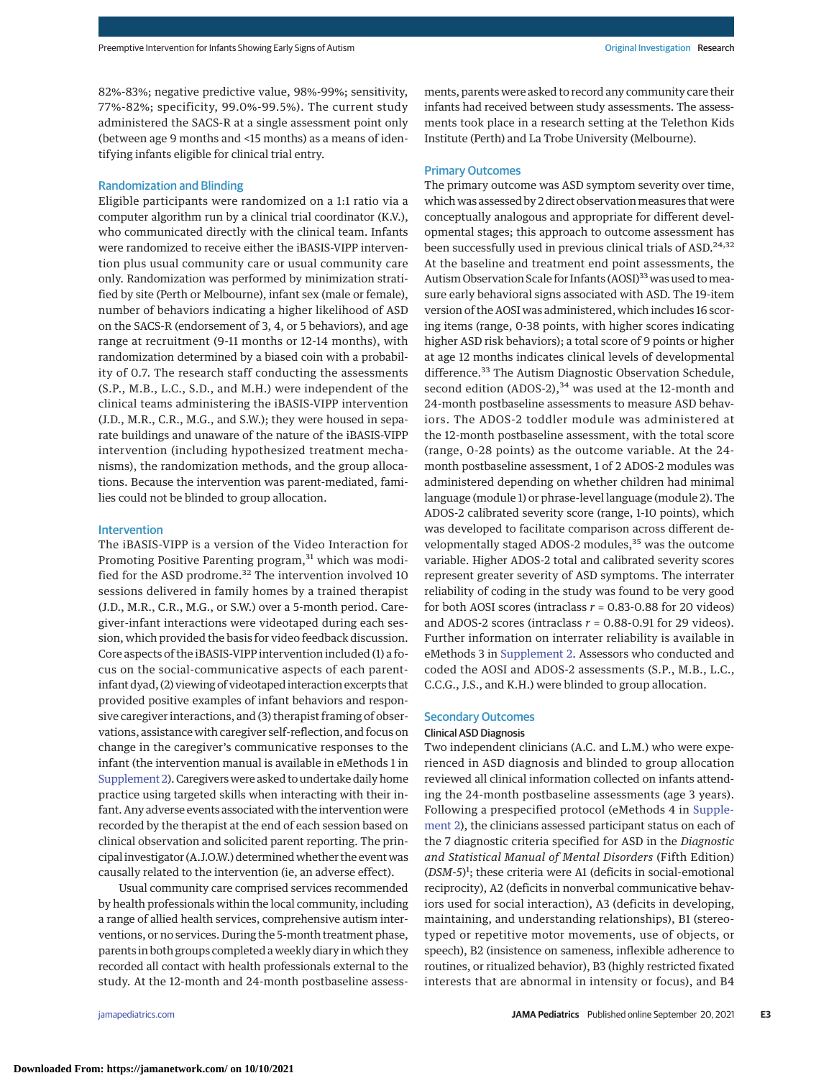82%-83%; negative predictive value, 98%-99%; sensitivity, 77%-82%; specificity, 99.0%-99.5%). The current study administered the SACS-R at a single assessment point only (between age 9 months and <15 months) as a means of identifying infants eligible for clinical trial entry.

## Randomization and Blinding

Eligible participants were randomized on a 1:1 ratio via a computer algorithm run by a clinical trial coordinator (K.V.), who communicated directly with the clinical team. Infants were randomized to receive either the iBASIS-VIPP intervention plus usual community care or usual community care only. Randomization was performed by minimization stratified by site (Perth or Melbourne), infant sex (male or female), number of behaviors indicating a higher likelihood of ASD on the SACS-R (endorsement of 3, 4, or 5 behaviors), and age range at recruitment (9-11 months or 12-14 months), with randomization determined by a biased coin with a probability of 0.7. The research staff conducting the assessments (S.P., M.B., L.C., S.D., and M.H.) were independent of the clinical teams administering the iBASIS-VIPP intervention (J.D., M.R., C.R., M.G., and S.W.); they were housed in separate buildings and unaware of the nature of the iBASIS-VIPP intervention (including hypothesized treatment mechanisms), the randomization methods, and the group allocations. Because the intervention was parent-mediated, families could not be blinded to group allocation.

## Intervention

The iBASIS-VIPP is a version of the Video Interaction for Promoting Positive Parenting program,<sup>31</sup> which was modified for the ASD prodrome.<sup>32</sup> The intervention involved 10 sessions delivered in family homes by a trained therapist (J.D., M.R., C.R., M.G., or S.W.) over a 5-month period. Caregiver-infant interactions were videotaped during each session, which provided the basis for video feedback discussion. Core aspects of the iBASIS-VIPP intervention included (1) a focus on the social-communicative aspects of each parentinfant dyad, (2) viewing of videotaped interaction excerpts that provided positive examples of infant behaviors and responsive caregiver interactions, and (3) therapist framing of observations, assistance with caregiver self-reflection, and focus on change in the caregiver's communicative responses to the infant (the intervention manual is available in eMethods 1 in [Supplement 2\)](https://jamanetwork.com/journals/jama/fullarticle/10.1001/jamapediatrics.2021.3298?utm_campaign=articlePDF%26utm_medium=articlePDFlink%26utm_source=articlePDF%26utm_content=jamapediatrics.2021.3298). Caregivers were asked to undertake daily home practice using targeted skills when interacting with their infant. Any adverse events associated with the intervention were recorded by the therapist at the end of each session based on clinical observation and solicited parent reporting. The principal investigator (A.J.O.W.) determined whether the event was causally related to the intervention (ie, an adverse effect).

Usual community care comprised services recommended by health professionals within the local community, including a range of allied health services, comprehensive autism interventions, or no services. During the 5-month treatment phase, parents in both groups completed a weekly diary in which they recorded all contact with health professionals external to the study. At the 12-month and 24-month postbaseline assess-

ments, parents were asked to record any community care their infants had received between study assessments. The assessments took place in a research setting at the Telethon Kids Institute (Perth) and La Trobe University (Melbourne).

## Primary Outcomes

The primary outcome was ASD symptom severity over time, which was assessed by 2 direct observation measures that were conceptually analogous and appropriate for different developmental stages; this approach to outcome assessment has been successfully used in previous clinical trials of ASD.<sup>24,32</sup> At the baseline and treatment end point assessments, the Autism Observation Scale for Infants (AOSI)<sup>33</sup> was used to measure early behavioral signs associated with ASD. The 19-item version of the AOSI was administered, which includes 16 scoring items (range, 0-38 points, with higher scores indicating higher ASD risk behaviors); a total score of 9 points or higher at age 12 months indicates clinical levels of developmental difference.<sup>33</sup> The Autism Diagnostic Observation Schedule, second edition (ADOS-2), $34$  was used at the 12-month and 24-month postbaseline assessments to measure ASD behaviors. The ADOS-2 toddler module was administered at the 12-month postbaseline assessment, with the total score (range, 0-28 points) as the outcome variable. At the 24 month postbaseline assessment, 1 of 2 ADOS-2 modules was administered depending on whether children had minimal language (module 1) or phrase-level language (module 2). The ADOS-2 calibrated severity score (range, 1-10 points), which was developed to facilitate comparison across different developmentally staged ADOS-2 modules,<sup>35</sup> was the outcome variable. Higher ADOS-2 total and calibrated severity scores represent greater severity of ASD symptoms. The interrater reliability of coding in the study was found to be very good for both AOSI scores (intraclass *r* = 0.83-0.88 for 20 videos) and ADOS-2 scores (intraclass  $r = 0.88 - 0.91$  for 29 videos). Further information on interrater reliability is available in eMethods 3 in [Supplement 2.](https://jamanetwork.com/journals/jama/fullarticle/10.1001/jamapediatrics.2021.3298?utm_campaign=articlePDF%26utm_medium=articlePDFlink%26utm_source=articlePDF%26utm_content=jamapediatrics.2021.3298) Assessors who conducted and coded the AOSI and ADOS-2 assessments (S.P., M.B., L.C., C.C.G., J.S., and K.H.) were blinded to group allocation.

#### Secondary Outcomes

#### Clinical ASD Diagnosis

Two independent clinicians (A.C. and L.M.) who were experienced in ASD diagnosis and blinded to group allocation reviewed all clinical information collected on infants attending the 24-month postbaseline assessments (age 3 years). Following a prespecified protocol (eMethods 4 in [Supple](https://jamanetwork.com/journals/jama/fullarticle/10.1001/jamapediatrics.2021.3298?utm_campaign=articlePDF%26utm_medium=articlePDFlink%26utm_source=articlePDF%26utm_content=jamapediatrics.2021.3298)[ment 2\)](https://jamanetwork.com/journals/jama/fullarticle/10.1001/jamapediatrics.2021.3298?utm_campaign=articlePDF%26utm_medium=articlePDFlink%26utm_source=articlePDF%26utm_content=jamapediatrics.2021.3298), the clinicians assessed participant status on each of the 7 diagnostic criteria specified for ASD in the *Diagnostic and Statistical Manual of Mental Disorders* (Fifth Edition) (*DSM-5*) 1 ; these criteria were A1 (deficits in social-emotional reciprocity), A2 (deficits in nonverbal communicative behaviors used for social interaction), A3 (deficits in developing, maintaining, and understanding relationships), B1 (stereotyped or repetitive motor movements, use of objects, or speech), B2 (insistence on sameness, inflexible adherence to routines, or ritualized behavior), B3 (highly restricted fixated interests that are abnormal in intensity or focus), and B4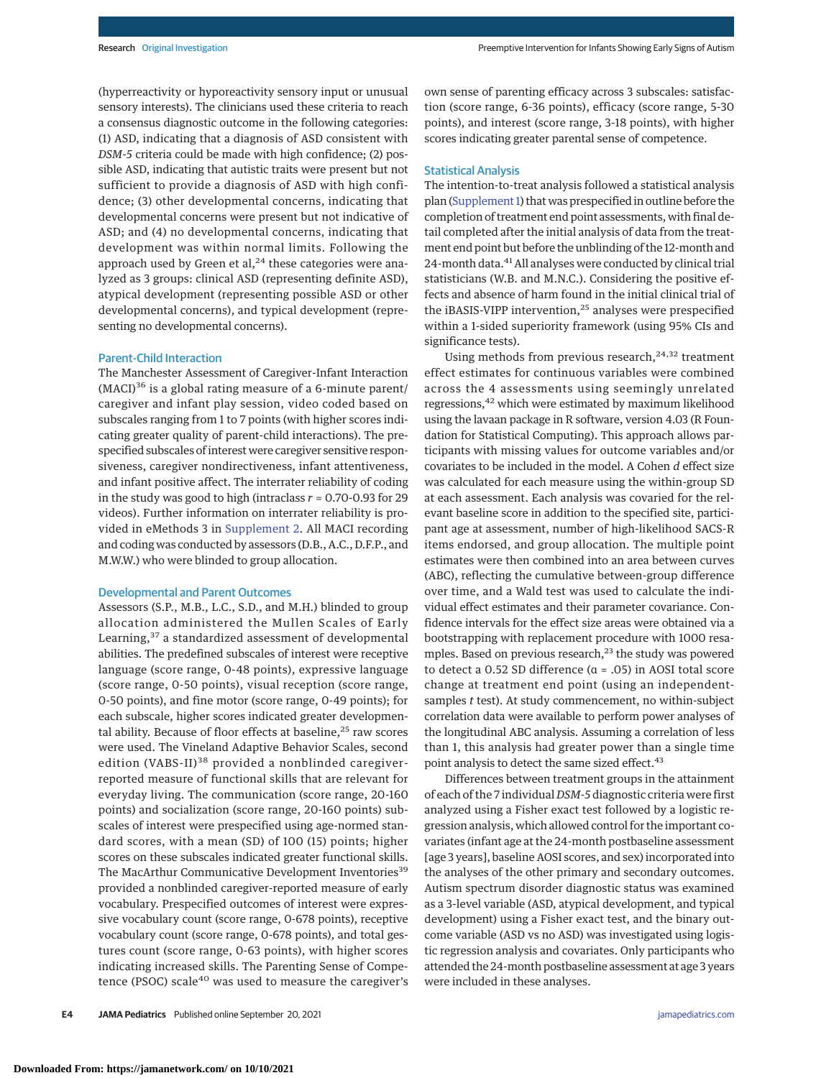(hyperreactivity or hyporeactivity sensory input or unusual sensory interests). The clinicians used these criteria to reach a consensus diagnostic outcome in the following categories: (1) ASD, indicating that a diagnosis of ASD consistent with *DSM-5* criteria could be made with high confidence; (2) possible ASD, indicating that autistic traits were present but not sufficient to provide a diagnosis of ASD with high confidence; (3) other developmental concerns, indicating that developmental concerns were present but not indicative of ASD; and (4) no developmental concerns, indicating that development was within normal limits. Following the approach used by Green et al, $^{24}$  these categories were analyzed as 3 groups: clinical ASD (representing definite ASD), atypical development (representing possible ASD or other developmental concerns), and typical development (representing no developmental concerns).

## Parent-Child Interaction

The Manchester Assessment of Caregiver-Infant Interaction  $(MACI)^{36}$  is a global rating measure of a 6-minute parent/ caregiver and infant play session, video coded based on subscales ranging from 1 to 7 points (with higher scores indicating greater quality of parent-child interactions). The prespecified subscales of interest were caregiver sensitive responsiveness, caregiver nondirectiveness, infant attentiveness, and infant positive affect. The interrater reliability of coding in the study was good to high (intraclass *r* = 0.70-0.93 for 29 videos). Further information on interrater reliability is provided in eMethods 3 in [Supplement 2.](https://jamanetwork.com/journals/jama/fullarticle/10.1001/jamapediatrics.2021.3298?utm_campaign=articlePDF%26utm_medium=articlePDFlink%26utm_source=articlePDF%26utm_content=jamapediatrics.2021.3298) All MACI recording and coding was conducted by assessors (D.B., A.C., D.F.P., and M.W.W.) who were blinded to group allocation.

#### Developmental and Parent Outcomes

Assessors (S.P., M.B., L.C., S.D., and M.H.) blinded to group allocation administered the Mullen Scales of Early Learning,<sup>37</sup> a standardized assessment of developmental abilities. The predefined subscales of interest were receptive language (score range, 0-48 points), expressive language (score range, 0-50 points), visual reception (score range, 0-50 points), and fine motor (score range, 0-49 points); for each subscale, higher scores indicated greater developmental ability. Because of floor effects at baseline,<sup>25</sup> raw scores were used. The Vineland Adaptive Behavior Scales, second edition (VABS-II)<sup>38</sup> provided a nonblinded caregiverreported measure of functional skills that are relevant for everyday living. The communication (score range, 20-160 points) and socialization (score range, 20-160 points) subscales of interest were prespecified using age-normed standard scores, with a mean (SD) of 100 (15) points; higher scores on these subscales indicated greater functional skills. The MacArthur Communicative Development Inventories<sup>39</sup> provided a nonblinded caregiver-reported measure of early vocabulary. Prespecified outcomes of interest were expressive vocabulary count (score range, 0-678 points), receptive vocabulary count (score range, 0-678 points), and total gestures count (score range, 0-63 points), with higher scores indicating increased skills. The Parenting Sense of Competence (PSOC) scale<sup>40</sup> was used to measure the caregiver's own sense of parenting efficacy across 3 subscales: satisfaction (score range, 6-36 points), efficacy (score range, 5-30 points), and interest (score range, 3-18 points), with higher scores indicating greater parental sense of competence.

# Statistical Analysis

The intention-to-treat analysis followed a statistical analysis plan [\(Supplement 1\)](https://jamanetwork.com/journals/jama/fullarticle/10.1001/jamapediatrics.2021.3298?utm_campaign=articlePDF%26utm_medium=articlePDFlink%26utm_source=articlePDF%26utm_content=jamapediatrics.2021.3298) that was prespecified in outline before the completion of treatment end point assessments, with final detail completed after the initial analysis of data from the treatment end point but before the unblinding of the 12-month and 24-month data.<sup>41</sup> All analyses were conducted by clinical trial statisticians (W.B. and M.N.C.). Considering the positive effects and absence of harm found in the initial clinical trial of the iBASIS-VIPP intervention,<sup>25</sup> analyses were prespecified within a 1-sided superiority framework (using 95% CIs and significance tests).

Using methods from previous research,  $24,32$  treatment effect estimates for continuous variables were combined across the 4 assessments using seemingly unrelated regressions,<sup>42</sup> which were estimated by maximum likelihood using the lavaan package in R software, version 4.03 (R Foundation for Statistical Computing). This approach allows participants with missing values for outcome variables and/or covariates to be included in the model. A Cohen *d* effect size was calculated for each measure using the within-group SD at each assessment. Each analysis was covaried for the relevant baseline score in addition to the specified site, participant age at assessment, number of high-likelihood SACS-R items endorsed, and group allocation. The multiple point estimates were then combined into an area between curves (ABC), reflecting the cumulative between-group difference over time, and a Wald test was used to calculate the individual effect estimates and their parameter covariance. Confidence intervals for the effect size areas were obtained via a bootstrapping with replacement procedure with 1000 resamples. Based on previous research, $^{23}$  the study was powered to detect a 0.52 SD difference (α = .05) in AOSI total score change at treatment end point (using an independentsamples *t* test). At study commencement, no within-subject correlation data were available to perform power analyses of the longitudinal ABC analysis. Assuming a correlation of less than 1, this analysis had greater power than a single time point analysis to detect the same sized effect.<sup>43</sup>

Differences between treatment groups in the attainment of each of the 7 individual *DSM-5* diagnostic criteria were first analyzed using a Fisher exact test followed by a logistic regression analysis, which allowed control for the important covariates (infant age at the 24-month postbaseline assessment [age 3 years], baseline AOSI scores, and sex) incorporated into the analyses of the other primary and secondary outcomes. Autism spectrum disorder diagnostic status was examined as a 3-level variable (ASD, atypical development, and typical development) using a Fisher exact test, and the binary outcome variable (ASD vs no ASD) was investigated using logistic regression analysis and covariates. Only participants who attended the 24-month postbaseline assessment at age 3 years were included in these analyses.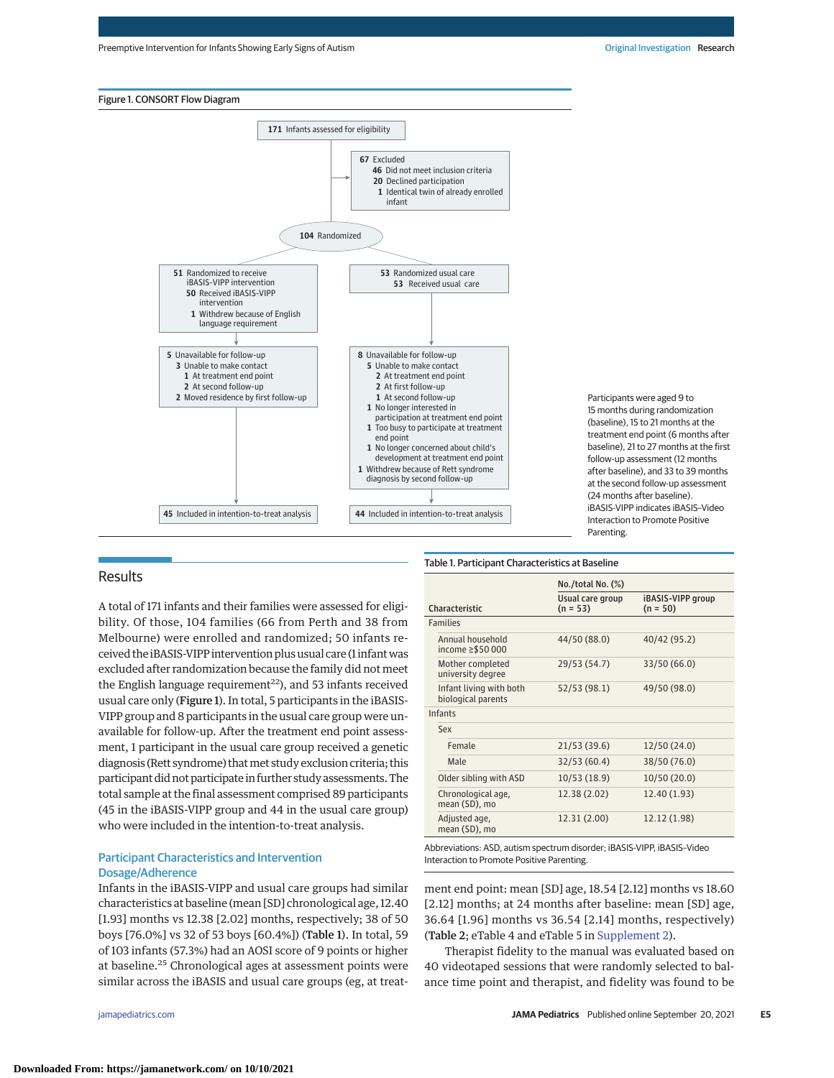



Participants were aged 9 to 15 months during randomization (baseline), 15 to 21 months at the treatment end point (6 months after baseline), 21 to 27 months at the first follow-up assessment (12 months after baseline), and 33 to 39 months at the second follow-up assessment (24 months after baseline). iBASIS-VIPP indicates iBASIS–Video Interaction to Promote Positive Parenting.

#### Table 1. Participant Characteristics at Baseline

# A total of 171 infants and their families were assessed for eligibility. Of those, 104 families (66 from Perth and 38 from Melbourne) were enrolled and randomized; 50 infants received the iBASIS-VIPP intervention plus usual care (1 infantwas excluded after randomization because the family did not meet the English language requirement<sup>22</sup>), and 53 infants received usual care only (Figure 1). In total, 5 participants in the iBASIS-VIPP group and 8 participants in the usual care group were unavailable for follow-up. After the treatment end point assessment, 1 participant in the usual care group received a genetic diagnosis (Rett syndrome) that met study exclusion criteria; this participant did not participate in further study assessments. The total sample at the final assessment comprised 89 participants (45 in the iBASIS-VIPP group and 44 in the usual care group) who were included in the intention-to-treat analysis.

# Participant Characteristics and Intervention Dosage/Adherence

Infants in the iBASIS-VIPP and usual care groups had similar characteristics at baseline (mean [SD] chronological age, 12.40 [1.93] months vs 12.38 [2.02] months, respectively; 38 of 50 boys [76.0%] vs 32 of 53 boys [60.4%]) (Table 1). In total, 59 of 103 infants (57.3%) had an AOSI score of 9 points or higher at baseline.<sup>25</sup> Chronological ages at assessment points were similar across the iBASIS and usual care groups (eg, at treat-

**Results** 

|                                                                         | No./total No. (%)              |                                 |
|-------------------------------------------------------------------------|--------------------------------|---------------------------------|
| Characteristic                                                          | Usual care group<br>$(n = 53)$ | iBASIS-VIPP group<br>$(n = 50)$ |
| <b>Families</b>                                                         |                                |                                 |
| Annual household<br>income ≥\$50 000                                    | 44/50 (88.0)                   | 40/42 (95.2)                    |
| Mother completed<br>university degree                                   | 29/53 (54.7)                   | 33/50 (66.0)                    |
| Infant living with both<br>biological parents                           | 52/53 (98.1)                   | 49/50 (98.0)                    |
| <b>Infants</b>                                                          |                                |                                 |
| Sex                                                                     |                                |                                 |
| Female                                                                  | 21/53 (39.6)                   | 12/50 (24.0)                    |
| Male                                                                    | 32/53 (60.4)                   | 38/50 (76.0)                    |
| Older sibling with ASD                                                  | 10/53 (18.9)                   | 10/50 (20.0)                    |
| Chronological age,<br>mean (SD), mo                                     | 12.38 (2.02)                   | 12.40 (1.93)                    |
| Adjusted age,<br>mean (SD), mo                                          | 12.31 (2.00)                   | 12.12 (1.98)                    |
| Abbreviations: ASD, autism spectrum disorder; iBASIS-VIPP, iBASIS-Video |                                |                                 |

Interaction to Promote Positive Parenting.

ment end point: mean [SD] age, 18.54 [2.12] months vs 18.60 [2.12] months; at 24 months after baseline: mean [SD] age, 36.64 [1.96] months vs 36.54 [2.14] months, respectively) (Table 2; eTable 4 and eTable 5 in [Supplement 2\)](https://jamanetwork.com/journals/jama/fullarticle/10.1001/jamapediatrics.2021.3298?utm_campaign=articlePDF%26utm_medium=articlePDFlink%26utm_source=articlePDF%26utm_content=jamapediatrics.2021.3298).

Therapist fidelity to the manual was evaluated based on 40 videotaped sessions that were randomly selected to balance time point and therapist, and fidelity was found to be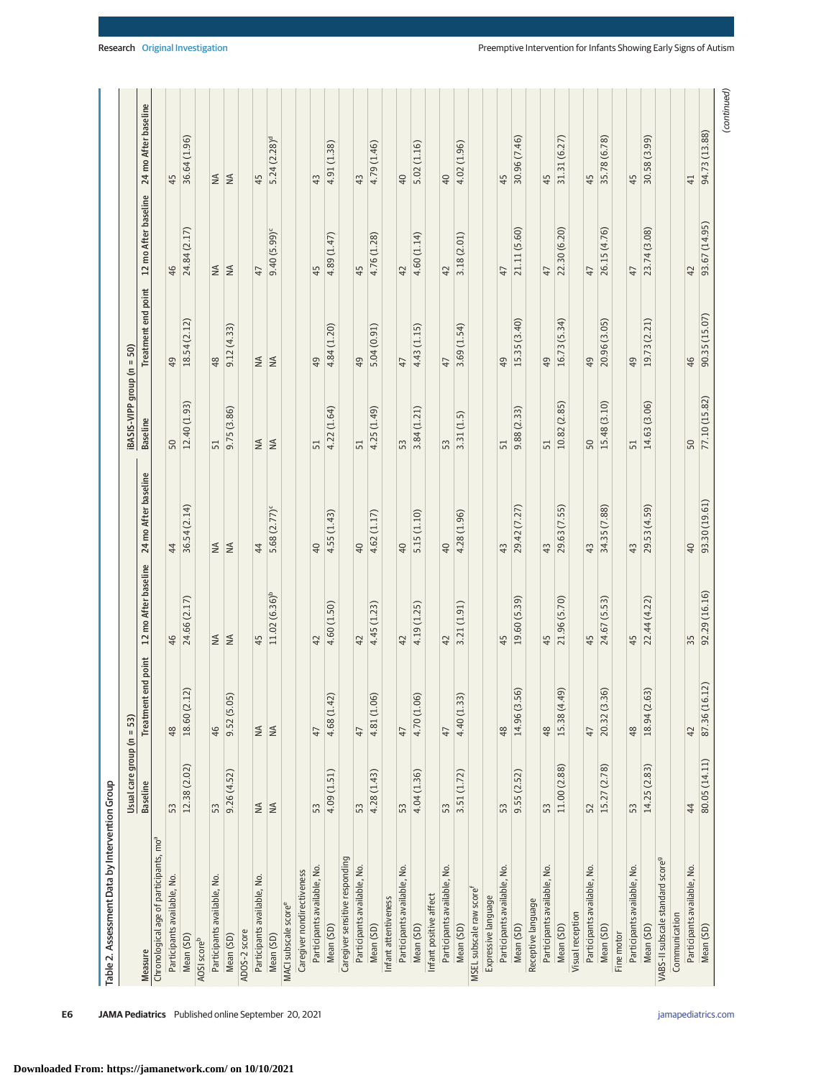| Table 2. Assessment Data by Intervention Group     |                     |                             |                      |                      |                        |                              |                      |                      |
|----------------------------------------------------|---------------------|-----------------------------|----------------------|----------------------|------------------------|------------------------------|----------------------|----------------------|
|                                                    | Usual care group (n | 53)<br>$\sf H$              |                      |                      | iBASIS-VIPP group (n = | 50)                          |                      |                      |
| Measure                                            | <b>Baseline</b>     | end point<br>Treatment      | 12 mo After baseline | 24 mo After baseline | <b>Baseline</b>        | Treatment end point          | 12 mo After baseline | 24 mo After baseline |
| Chronological age of participants, mo <sup>a</sup> |                     |                             |                      |                      |                        |                              |                      |                      |
| Participants available, No.                        | 53                  | 48                          | 46                   | 44                   | 50                     | $^{49}$                      | 46                   | 45                   |
| Mean (SD)                                          | 12.38 (2.02)        | $\widehat{z}$<br>18.60 (2.1 | 24.66 (2.17)         | 36.54 (2.14)         | 12.40 (1.93)           | 18.54 (2.12)                 | 24.84 (2.17)         | 36.64 (1.96)         |
| AOSI scoreb                                        |                     |                             |                      |                      |                        |                              |                      |                      |
| Participants available, No.                        | 53                  | 46                          | $\leq$               | $\leq$               | 51                     | 48                           | $\leq$               | $\lessgtr$           |
| Mean (SD)                                          | 9.26(4.52)          | 9.52 (5.05                  | $\leq$               | $\leq$               | 9.75 (3.86)            | 9.12(4.33)                   | $\leq$               | $\leq$               |
| ADOS-2 score                                       |                     |                             |                      |                      |                        |                              |                      |                      |
| Participants available, No.                        | $\lessgtr$          |                             | 45                   | 44                   | $\lessgtr$             | $\stackrel{\triangle}{\geq}$ | 47                   | 45                   |
| Mean (SD)                                          | $\leq$              | $\leq \leq$                 | $11.02(6.36)^b$      | 5.68 (2.77)          | $\leq$                 | $\leq$                       | $9.40(5.99)^c$       | 5.24(2.28)°          |
| MACI subscale score <sup>e</sup>                   |                     |                             |                      |                      |                        |                              |                      |                      |
| Caregiver nondirectiveness                         |                     |                             |                      |                      |                        |                              |                      |                      |
| Participants available, No.                        | 53                  | 47                          | 42                   | 40                   | 51                     | 49                           | 45                   | 43                   |
| Mean (SD)                                          | 4.09 (1.51)         | 4.68 (1.42                  | 4.60 (1.50)          | 4.55 (1.43)          | 4.22 (1.64)            | 4.84 (1.20)                  | 4.89 (1.47)          | 4.91 (1.38)          |
| Caregiver sensitive responding                     |                     |                             |                      |                      |                        |                              |                      |                      |
| Participants available, No.                        | 53                  | 47                          | 42                   | 40                   | 51                     | 49                           | 45                   | 43                   |
| Mean (SD)                                          | 4.28 (1.43)         | 4.81 (1.06)                 | 4.45 (1.23)          | 4.62 (1.17)          | 4.25 (1.49)            | 5.04(0.91)                   | 4.76 (1.28)          | 4.79 (1.46)          |
| Infant attentiveness                               |                     |                             |                      |                      |                        |                              |                      |                      |
| Participants available, No.                        | 53                  | 47                          | $\overline{4}$       | $\overline{40}$      | 53                     | 47                           | 42                   | $\overline{40}$      |
| Mean (SD)                                          | 4.04 (1.36)         | 4.70 (1.06)                 | 4.19 (1.25)          | 5.15 (1.10)          | 3.84(1.21)             | 4.43(1.15)                   | 4.60 (1.14)          | 5.02 (1.16)          |
| Infant positive affect                             |                     |                             |                      |                      |                        |                              |                      |                      |
| Participants available, No.                        | 53                  | 47                          | 42                   | 40                   | 53                     | 47                           | 42                   | 40                   |
| Mean (SD)                                          | 3.51 (1.72)         | 4.40 (1.33                  | 3.21 (1.91)          | 4.28 (1.96)          | 3.31(1.5)              | 3.69(1.54)                   | 3.18 (2.01)          | 4.02 (1.96)          |
| MSEL subscale raw score                            |                     |                             |                      |                      |                        |                              |                      |                      |
| Expressive language                                |                     |                             |                      |                      |                        |                              |                      |                      |
| Participants available, No.                        | 53                  | 48                          | 45                   | 43                   | 51                     | 49                           | 47                   | 45                   |
| Mean (SD)                                          | 9.55(2.52)          | 14.96 (3.56)                | 19.60 (5.39)         | 29.42 (7.27)         | 9.88 (2.33)            | 15.35 (3.40)                 | 21.11 (5.60)         | 30.96 (7.46)         |
| Receptive language                                 |                     |                             |                      |                      |                        |                              |                      |                      |
| Participants available, No.                        | 53                  | 48                          | 45                   | 43                   | 51                     | 49                           | 47                   | 45                   |
| Mean (SD)                                          | 11.00 (2.88)        | ெ<br>15.38 (4.4             | 21.96 (5.70)         | 29.63 (7.55)         | 10.82 (2.85)           | 16.73 (5.34)                 | 22.30 (6.20)         | 31.31 (6.27)         |
| Visual reception                                   |                     |                             |                      |                      |                        |                              |                      |                      |
| Participants available, No.                        | 52                  | 47                          | 45                   | 4 <sup>3</sup>       | 50                     | 49                           | 47                   | 45                   |
| Mean (SD)                                          | 15.27 (2.78)        | 6<br>20.32 (3.3             | 24.67 (5.53)         | 34.35 (7.88)         | 15.48 (3.10)           | 20.96 (3.05)                 | 26.15 (4.76)         | 35.78 (6.78)         |
| Fine motor                                         |                     |                             |                      |                      |                        |                              |                      |                      |
| Participants available, No.                        | 53                  | 48                          | 45                   | 43                   | 51                     | $^{49}$                      | $\overline{4}$       | 45                   |
| Mean (SD)                                          | 14.25 (2.83)        | 18.94 (2.63)                | 22.44 (4.22)         | 29.53 (4.59)         | 14.63 (3.06)           | 19.73 (2.21)                 | 23.74 (3.08)         | 30.58 (3.99)         |
| VABS-II subscale standard score <sup>9</sup>       |                     |                             |                      |                      |                        |                              |                      |                      |
| Communication                                      |                     |                             |                      |                      |                        |                              |                      |                      |
| Participants available, No.                        | 44                  | 42                          | 35                   | 40                   | 50                     | 46                           | 42                   | $\overline{4}$       |
| Mean (SD)                                          | 80.05 (14.11)       | 12)<br>87.36 (16            | 92.29 (16.16)        | 93.30 (19.61)        | 77.10 (15.82)          | 90.35 (15.07)                | 93.67 (14.95)        | 94.73 (13.88)        |
|                                                    |                     |                             |                      |                      |                        |                              |                      | (continued)          |

**E6 JAMA Pediatrics** Published online September 20, 2021 **(Reprinted)** in the printed of the separate of the separate of the separate of the separate of the separate of the separate of the separate of the separate of the

**Downloaded From: https://jamanetwork.com/ on 10/10/2021**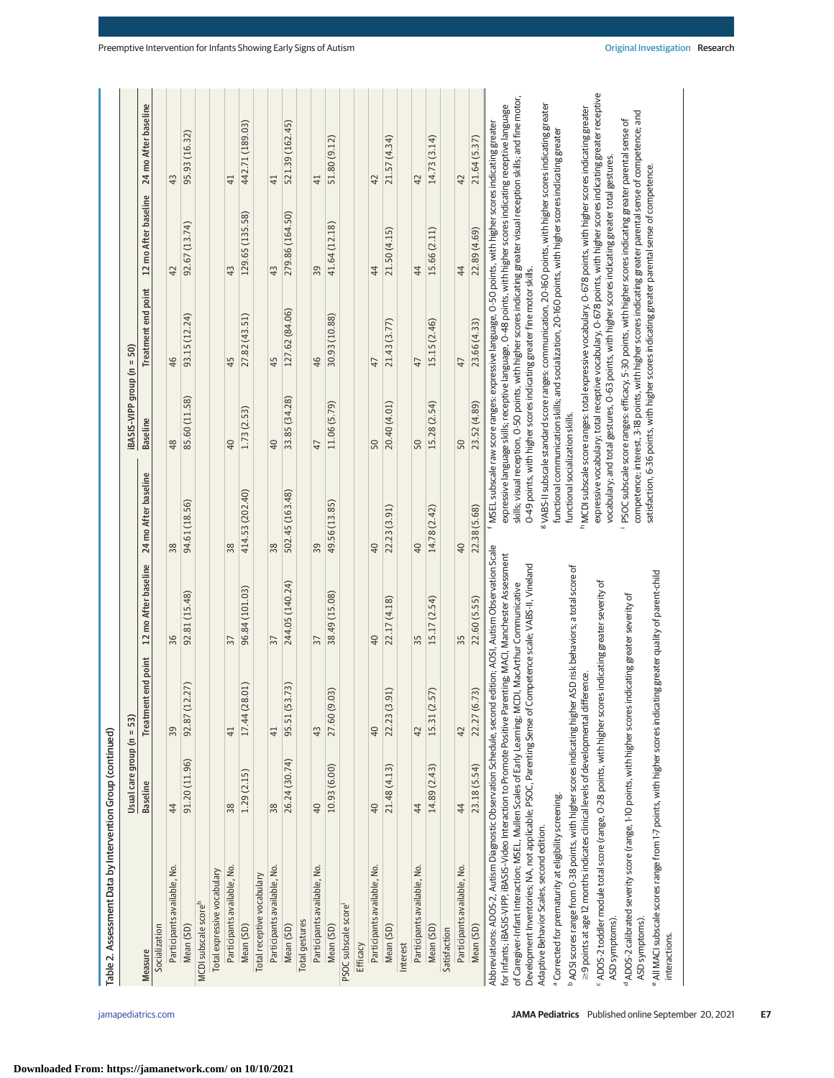|                                                                                                                                                                                                                                                                                                                                                                                                                                                      | Usual care group ( $n = 53$ ) |                     |                                         |                                  | iBASIS-VIPP group (n = 50) |                                                                                                                                                                                                                                                                                                     |                      |                                                                                                                       |
|------------------------------------------------------------------------------------------------------------------------------------------------------------------------------------------------------------------------------------------------------------------------------------------------------------------------------------------------------------------------------------------------------------------------------------------------------|-------------------------------|---------------------|-----------------------------------------|----------------------------------|----------------------------|-----------------------------------------------------------------------------------------------------------------------------------------------------------------------------------------------------------------------------------------------------------------------------------------------------|----------------------|-----------------------------------------------------------------------------------------------------------------------|
| Measure                                                                                                                                                                                                                                                                                                                                                                                                                                              | <b>Baseline</b>               | Treatment end point | 12 mo After baseline                    | 24 mo After baseline             | <b>Baseline</b>            | Treatment end point                                                                                                                                                                                                                                                                                 | 12 mo After baseline | 24 mo After baseline                                                                                                  |
| Socialization                                                                                                                                                                                                                                                                                                                                                                                                                                        |                               |                     |                                         |                                  |                            |                                                                                                                                                                                                                                                                                                     |                      |                                                                                                                       |
| Participants available, No.                                                                                                                                                                                                                                                                                                                                                                                                                          | 44                            | 39                  | 36                                      | 38                               | 48                         | 46                                                                                                                                                                                                                                                                                                  | 42                   | 43                                                                                                                    |
| Mean (SD)                                                                                                                                                                                                                                                                                                                                                                                                                                            | 91.20 (11.96)                 | 12.27<br>92.87(     | 92.81 (15.48)                           | 94.61 (18.56)                    | 85.60 (11.58)              | 93.15 (12.24)                                                                                                                                                                                                                                                                                       | 92.67 (13.74)        | 95.93 (16.32)                                                                                                         |
| MCDI subscale score <sup>h</sup>                                                                                                                                                                                                                                                                                                                                                                                                                     |                               |                     |                                         |                                  |                            |                                                                                                                                                                                                                                                                                                     |                      |                                                                                                                       |
| Total expressive vocabulary                                                                                                                                                                                                                                                                                                                                                                                                                          |                               |                     |                                         |                                  |                            |                                                                                                                                                                                                                                                                                                     |                      |                                                                                                                       |
| Participants available, No.                                                                                                                                                                                                                                                                                                                                                                                                                          | 38                            | $\overline{41}$     | 57                                      | 38                               | 40                         | 45                                                                                                                                                                                                                                                                                                  | 43                   | 41                                                                                                                    |
| Mean (SD)                                                                                                                                                                                                                                                                                                                                                                                                                                            | 1.29 (2.15)                   | 17.44 (28.01)       | 96.84 (101.03)                          | 414.53 (202.40)                  | 1.73 (2.53)                | 27.82 (43.51)                                                                                                                                                                                                                                                                                       | 129.65 (135.58)      | 442.71 (189.03)                                                                                                       |
| Total receptive vocabulary                                                                                                                                                                                                                                                                                                                                                                                                                           |                               |                     |                                         |                                  |                            |                                                                                                                                                                                                                                                                                                     |                      |                                                                                                                       |
| Participants available, No.                                                                                                                                                                                                                                                                                                                                                                                                                          | 38                            | 41                  | 37                                      | 38                               | 40                         | 45                                                                                                                                                                                                                                                                                                  | 43                   | 41                                                                                                                    |
| Mean (SD)                                                                                                                                                                                                                                                                                                                                                                                                                                            | 26.24 (30.74)                 | 53.73)<br>95.51     | 244.05 (140.24)                         | 502.45 (163.48)                  | 33.85 (34.28)              | 127.62 (84.06)                                                                                                                                                                                                                                                                                      | 279.86 (164.50)      | 521.39 (162.45)                                                                                                       |
| <b>Total gestures</b>                                                                                                                                                                                                                                                                                                                                                                                                                                |                               |                     |                                         |                                  |                            |                                                                                                                                                                                                                                                                                                     |                      |                                                                                                                       |
| Participants available, No.                                                                                                                                                                                                                                                                                                                                                                                                                          | 40                            | 43                  | 57                                      | 39                               | $\overline{4}$             | 46                                                                                                                                                                                                                                                                                                  | 39                   | $\overline{4}$                                                                                                        |
| Mean (SD)                                                                                                                                                                                                                                                                                                                                                                                                                                            | 10.93 (6.00)                  | 27.60 (9.03)        | 38.49 (15.08)                           | 49.56 (13.85)                    | 11.06 (5.79)               | 30.93 (10.88)                                                                                                                                                                                                                                                                                       | 41.64 (12.18)        | 51.80 (9.12)                                                                                                          |
| PSOC subscale score                                                                                                                                                                                                                                                                                                                                                                                                                                  |                               |                     |                                         |                                  |                            |                                                                                                                                                                                                                                                                                                     |                      |                                                                                                                       |
| Efficacy                                                                                                                                                                                                                                                                                                                                                                                                                                             |                               |                     |                                         |                                  |                            |                                                                                                                                                                                                                                                                                                     |                      |                                                                                                                       |
| Participants available, No.                                                                                                                                                                                                                                                                                                                                                                                                                          | 40                            | $\overline{40}$     | $\overline{40}$                         | 40                               | 50                         | 47                                                                                                                                                                                                                                                                                                  | 44                   | 42                                                                                                                    |
| Mean (SD)                                                                                                                                                                                                                                                                                                                                                                                                                                            | 21.48 (4.13)                  | 22.23 (3.91)        | 22.17 (4.18)                            | 22.23 (3.91)                     | 20.40 (4.01)               | 21.43 (3.77)                                                                                                                                                                                                                                                                                        | 21.50 (4.15)         | 21.57 (4.34)                                                                                                          |
| Interest                                                                                                                                                                                                                                                                                                                                                                                                                                             |                               |                     |                                         |                                  |                            |                                                                                                                                                                                                                                                                                                     |                      |                                                                                                                       |
| Participants available, No.                                                                                                                                                                                                                                                                                                                                                                                                                          | 44                            | 42                  | 35                                      | 40                               | 50                         | 47                                                                                                                                                                                                                                                                                                  | 44                   | 42                                                                                                                    |
| Mean (SD)                                                                                                                                                                                                                                                                                                                                                                                                                                            | 14.89 (2.43)                  | 15.31 (2.57)        | 15.17 (2.54)                            | 14.78 (2.42)                     | 15.28 (2.54)               | 15.15 (2.46)                                                                                                                                                                                                                                                                                        | 15.66 (2.11)         | 14.73 (3.14)                                                                                                          |
| Satisfaction                                                                                                                                                                                                                                                                                                                                                                                                                                         |                               |                     |                                         |                                  |                            |                                                                                                                                                                                                                                                                                                     |                      |                                                                                                                       |
| Participants available, No.                                                                                                                                                                                                                                                                                                                                                                                                                          | 44                            | 42                  | 55                                      | 40                               | 50                         | 47                                                                                                                                                                                                                                                                                                  | 44                   | 42                                                                                                                    |
| Mean (SD)                                                                                                                                                                                                                                                                                                                                                                                                                                            | 23.18 (5.54)                  | 22.27 (6.73)        | 22.60 (5.55)                            | 22.38 (5.68)                     | 23.52 (4.89)               | 23.66 (4.33)                                                                                                                                                                                                                                                                                        | 22.89 (4.69)         | 21.64 (5.37)                                                                                                          |
| Abbreviations: ADOS-2, Autism Diagnostic Observation Schedule, second edition; AOSI, Autism Observation Scale<br>for Infants; iBASIS-VIPP; iBASIS-Video Interaction to Promote Positive Parenting; MACI, Manchester Assessment<br>Development Inventories; NA, not applicable; PSOC, Parenting Sense of Competence scale; VABS-II, Vineland<br>of Caregiver-Infant Interaction; MSEL, Mullen Scales of Early Learning; MCDI, MacArthur Communicative |                               |                     |                                         |                                  |                            | expressive language skills; receptive language, O-48 points, with higher scores indicating receptive language<br>f MSEL subscale raw score ranges: expressive language, 0-50 points, with higher scores indicating greater<br>0-49 points, with higher scores indicating greater fine motor skills. |                      | skills; visual reception, 0-50 points, with higher scores indicating greater visual reception skills; and fine motor, |
| Adaptive Behavior Scales, second edition.                                                                                                                                                                                                                                                                                                                                                                                                            |                               |                     |                                         |                                  |                            | VABS-II subscale standard score ranges: communication, 20-160 points, with higher scores indicating greater                                                                                                                                                                                         |                      |                                                                                                                       |
| <sup>a</sup> Corrected for prematurity at eligibility screening.                                                                                                                                                                                                                                                                                                                                                                                     |                               |                     |                                         | functional socialization skills. |                            | functional communication skills; and socialization, 20-160 points, with higher scores indicating greater                                                                                                                                                                                            |                      |                                                                                                                       |
| ≥9 points at age 12 months indicates clinical levels of developmental difference.<br><sup>b</sup> AOSI scores range from 0-38 points, with higher scores indicating high                                                                                                                                                                                                                                                                             |                               |                     | er ASD risk behaviors; a total score of |                                  |                            | hMCDI subscale score ranges: total expressive vocabulary, 0-678 points, with higher scores indicating greater                                                                                                                                                                                       |                      |                                                                                                                       |
| "ADOS-2 toddler module total score (range, 0-28 points, with higher sco<br>ASD symptoms).                                                                                                                                                                                                                                                                                                                                                            |                               |                     | pres indicating greater severity of     |                                  |                            | vocabulary; and total gestures, O-63 points, with higher scores indicating greater total gestures.                                                                                                                                                                                                  |                      | expressive vocabulary; total receptive vocabulary, 0-678 points, with higher scores indicating greater receptive      |
| <sup>d</sup> ADOS-2 calibrated severity score (range, 1-10 points, with higher scores indicating greater severity of                                                                                                                                                                                                                                                                                                                                 |                               |                     |                                         |                                  |                            | PSOC subscale score ranges: efficacy, 5-30 points, with higher scores indicating greater parental sense of                                                                                                                                                                                          |                      |                                                                                                                       |

ASD symptoms).

ASD symptoms).

interactions.

interactions.

e All MACI subscale scores range from 1-7 points, with higher scores indicating greater quality of parent-child All MACI subscale scores range from 1-7 points, with higher scores indicating greater quality of parent-child

 $\left| \begin{array}{c} \circ \\ \circ \end{array} \right|$ 

' PSOC subscale score ranges: efficacy, 5-30 points, with higher scores indicating greater parental sense of<br>competence: interest, 3-18 points, with higher scores indicating greater parental sense of competence; and<br>satisf PSOC subscale score ranges: efficacy, 5-30 points, with higher scores indicating greater parental sense of competence; interest, 3-18 points, with higher scores indicating greater parental sense of competence; and satisfaction, 6-36 points, with higher scores indicating greater parental sense of competence.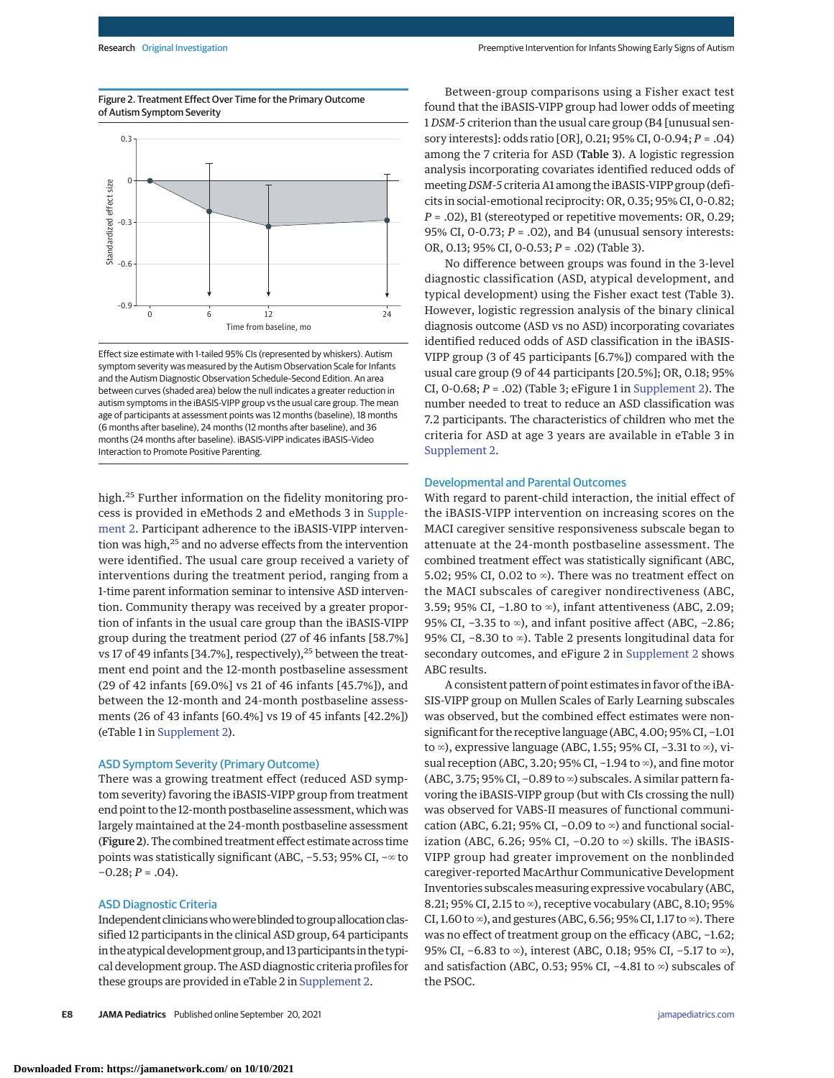Figure 2. Treatment Effect Over Time for the Primary Outcome of Autism Symptom Severity



Effect size estimate with 1-tailed 95% CIs (represented by whiskers). Autism symptom severity was measured by the Autism Observation Scale for Infants and the Autism Diagnostic Observation Schedule–Second Edition. An area between curves (shaded area) below the null indicates a greater reduction in autism symptoms in the iBASIS-VIPP group vs the usual care group. The mean age of participants at assessment points was 12 months (baseline), 18 months (6 months after baseline), 24 months (12 months after baseline), and 36 months (24 months after baseline). iBASIS-VIPP indicates iBASIS–Video Interaction to Promote Positive Parenting.

high.<sup>25</sup> Further information on the fidelity monitoring process is provided in eMethods 2 and eMethods 3 in [Supple](https://jamanetwork.com/journals/jama/fullarticle/10.1001/jamapediatrics.2021.3298?utm_campaign=articlePDF%26utm_medium=articlePDFlink%26utm_source=articlePDF%26utm_content=jamapediatrics.2021.3298)[ment 2.](https://jamanetwork.com/journals/jama/fullarticle/10.1001/jamapediatrics.2021.3298?utm_campaign=articlePDF%26utm_medium=articlePDFlink%26utm_source=articlePDF%26utm_content=jamapediatrics.2021.3298) Participant adherence to the iBASIS-VIPP intervention was high,<sup>25</sup> and no adverse effects from the intervention were identified. The usual care group received a variety of interventions during the treatment period, ranging from a 1-time parent information seminar to intensive ASD intervention. Community therapy was received by a greater proportion of infants in the usual care group than the iBASIS-VIPP group during the treatment period (27 of 46 infants [58.7%] vs 17 of 49 infants [34.7%], respectively), $^{25}$  between the treatment end point and the 12-month postbaseline assessment (29 of 42 infants [69.0%] vs 21 of 46 infants [45.7%]), and between the 12-month and 24-month postbaseline assessments (26 of 43 infants [60.4%] vs 19 of 45 infants [42.2%]) (eTable 1 in [Supplement 2\)](https://jamanetwork.com/journals/jama/fullarticle/10.1001/jamapediatrics.2021.3298?utm_campaign=articlePDF%26utm_medium=articlePDFlink%26utm_source=articlePDF%26utm_content=jamapediatrics.2021.3298).

## ASD Symptom Severity (Primary Outcome)

There was a growing treatment effect (reduced ASD symptom severity) favoring the iBASIS-VIPP group from treatment end point to the 12-month postbaseline assessment, which was largely maintained at the 24-month postbaseline assessment (Figure 2). The combined treatment effect estimate across time points was statistically significant (ABC, −5.53; 95% CI, −∞ to  $-0.28; P = .04$ ).

#### ASD Diagnostic Criteria

Independent clinicians who were blinded to group allocation classified 12 participants in the clinical ASD group, 64 participants in the atypical development group, and 13 participants in the typical development group. The ASD diagnostic criteria profiles for these groups are provided in eTable 2 in [Supplement 2.](https://jamanetwork.com/journals/jama/fullarticle/10.1001/jamapediatrics.2021.3298?utm_campaign=articlePDF%26utm_medium=articlePDFlink%26utm_source=articlePDF%26utm_content=jamapediatrics.2021.3298)

Between-group comparisons using a Fisher exact test found that the iBASIS-VIPP group had lower odds of meeting 1 *DSM-5* criterion than the usual care group (B4 [unusual sensory interests]: odds ratio [OR], 0.21; 95% CI, 0-0.94; *P* = .04) among the 7 criteria for ASD (Table 3). A logistic regression analysis incorporating covariates identified reduced odds of meeting *DSM-5* criteria A1 among the iBASIS-VIPP group (deficits in social-emotional reciprocity: OR, 0.35; 95% CI, 0-0.82; *P* = .02), B1 (stereotyped or repetitive movements: OR, 0.29; 95% CI, 0-0.73; *P* = .02), and B4 (unusual sensory interests: OR, 0.13; 95% CI, 0-0.53; *P* = .02) (Table 3).

No difference between groups was found in the 3-level diagnostic classification (ASD, atypical development, and typical development) using the Fisher exact test (Table 3). However, logistic regression analysis of the binary clinical diagnosis outcome (ASD vs no ASD) incorporating covariates identified reduced odds of ASD classification in the iBASIS-VIPP group (3 of 45 participants [6.7%]) compared with the usual care group (9 of 44 participants [20.5%]; OR, 0.18; 95% CI, 0-0.68; *P* = .02) (Table 3; eFigure 1 in [Supplement 2\)](https://jamanetwork.com/journals/jama/fullarticle/10.1001/jamapediatrics.2021.3298?utm_campaign=articlePDF%26utm_medium=articlePDFlink%26utm_source=articlePDF%26utm_content=jamapediatrics.2021.3298). The number needed to treat to reduce an ASD classification was 7.2 participants. The characteristics of children who met the criteria for ASD at age 3 years are available in eTable 3 in [Supplement 2.](https://jamanetwork.com/journals/jama/fullarticle/10.1001/jamapediatrics.2021.3298?utm_campaign=articlePDF%26utm_medium=articlePDFlink%26utm_source=articlePDF%26utm_content=jamapediatrics.2021.3298)

#### Developmental and Parental Outcomes

With regard to parent-child interaction, the initial effect of the iBASIS-VIPP intervention on increasing scores on the MACI caregiver sensitive responsiveness subscale began to attenuate at the 24-month postbaseline assessment. The combined treatment effect was statistically significant (ABC, 5.02; 95% CI, 0.02 to  $\infty$ ). There was no treatment effect on the MACI subscales of caregiver nondirectiveness (ABC, 3.59; 95% CI, −1.80 to ∞), infant attentiveness (ABC, 2.09; 95% CI, −3.35 to ∞), and infant positive affect (ABC, −2.86; 95% CI, −8.30 to ∞). Table 2 presents longitudinal data for secondary outcomes, and eFigure 2 in [Supplement 2](https://jamanetwork.com/journals/jama/fullarticle/10.1001/jamapediatrics.2021.3298?utm_campaign=articlePDF%26utm_medium=articlePDFlink%26utm_source=articlePDF%26utm_content=jamapediatrics.2021.3298) shows ABC results.

A consistent pattern of point estimates in favor of the iBA-SIS-VIPP group on Mullen Scales of Early Learning subscales was observed, but the combined effect estimates were nonsignificant for the receptive language (ABC, 4.00; 95% CI, −1.01 to ∞), expressive language (ABC, 1.55; 95% CI, −3.31 to ∞), visual reception (ABC, 3.20; 95% CI, −1.94 to ∞), and fine motor (ABC, 3.75; 95% CI, −0.89 to ∞) subscales. A similar pattern favoring the iBASIS-VIPP group (but with CIs crossing the null) was observed for VABS-II measures of functional communication (ABC, 6.21; 95% CI, –0.09 to ∞) and functional socialization (ABC, 6.26; 95% CI, −0.20 to ∞) skills. The iBASIS-VIPP group had greater improvement on the nonblinded caregiver-reported MacArthur Communicative Development Inventories subscales measuring expressive vocabulary (ABC, 8.21; 95% CI, 2.15 to ¤), receptive vocabulary (ABC, 8.10; 95% CI, 1.60 to  $\infty$ ), and gestures (ABC, 6.56; 95% CI, 1.17 to  $\infty$ ). There was no effect of treatment group on the efficacy (ABC, −1.62; 95% CI, −6.83 to ∞), interest (ABC, 0.18; 95% CI, −5.17 to ∞), and satisfaction (ABC, 0.53; 95% CI, −4.81 to ∞) subscales of the PSOC.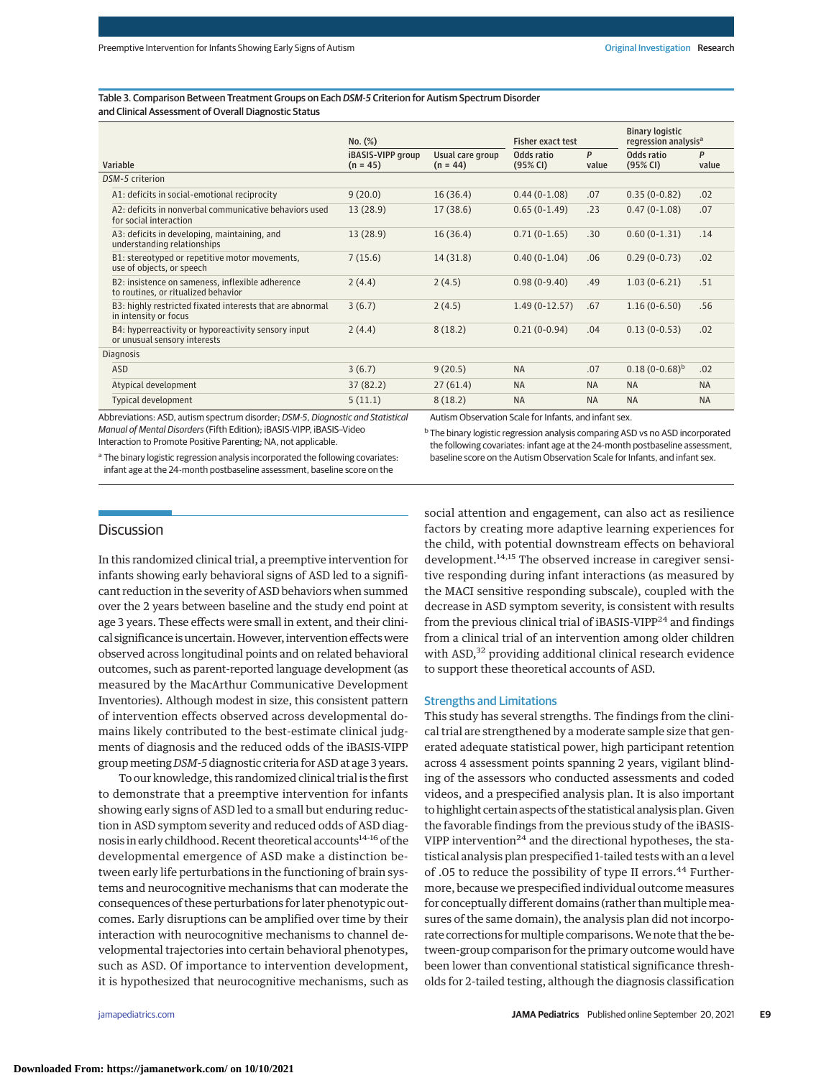Table 3. Comparison Between Treatment Groups on Each DSM-5 Criterion for Autism Spectrum Disorder and Clinical Assessment of Overall Diagnostic Status

Variable No. (%) Fisher exact test Binary logistic regression analysis<sup>®</sup> iBASIS-VIPP group  $(n = 45)$ Usual care group  $(n = 44)$ Odds ratio (95% CI) P value Odds ratio (95% CI) P value DSM-5 criterion A1: deficits in social-emotional reciprocity 9 (20.0) 16 (36.4) 0.44 (0-1.08) .07 0.35 (0-0.82) .02 A2: deficits in nonverbal communicative behaviors used for social interaction 13 (28.9) 17 (38.6) 0.65 (0-1.49) .23 0.47 (0-1.08) .07 A3: deficits in developing, maintaining, and understanding relationships 13 (28.9) 16 (36.4) 0.71 (0-1.65) .30 0.60 (0-1.31) .14 B1: stereotyped or repetitive motor movements, use of objects, or speech 7 (15.6) 14 (31.8) 0.40 (0-1.04) .06 0.29 (0-0.73) .02 B2: insistence on sameness, inflexible adherence to routines, or ritualized behavior 2 (4.4) 2 (4.5) 0.98 (0-9.40) .49 1.03 (0-6.21) .51 B3: highly restricted fixated interests that are abnormal in intensity or focus 3 (6.7) 2 (4.5) 1.49 (0-12.57) .67 1.16 (0-6.50) .56 B4: hyperreactivity or hyporeactivity sensory input or unusual sensory interests 2 (4.4) 8 (18.2) 0.21 (0-0.94) .04 0.13 (0-0.53) .02 Diagnosis  $\text{ASD}$  3 (6.7) 9 (20.5) NA .07 0.18 (0-0.68)<sup>b</sup> .02 Atypical development and the control of the 37 (82.2) 27 (61.4) NA NA NA NA NA NA Typical development and the set of the set of the set of the set of the S(11.1) and S(18.2) NA NA NA NA NA

Abbreviations: ASD, autism spectrum disorder; DSM-5, Diagnostic and Statistical Manual of Mental Disorders (Fifth Edition); iBASIS-VIPP, iBASIS–Video Interaction to Promote Positive Parenting; NA, not applicable.

Autism Observation Scale for Infants, and infant sex.

a The binary logistic regression analysis incorporated the following covariates: infant age at the 24-month postbaseline assessment, baseline score on the

<sup>b</sup> The binary logistic regression analysis comparing ASD vs no ASD incorporated the following covariates: infant age at the 24-month postbaseline assessment, baseline score on the Autism Observation Scale for Infants, and infant sex.

# **Discussion**

In this randomized clinical trial, a preemptive intervention for infants showing early behavioral signs of ASD led to a significant reduction in the severity of ASD behaviors when summed over the 2 years between baseline and the study end point at age 3 years. These effects were small in extent, and their clinical significance is uncertain. However, intervention effects were observed across longitudinal points and on related behavioral outcomes, such as parent-reported language development (as measured by the MacArthur Communicative Development Inventories). Although modest in size, this consistent pattern of intervention effects observed across developmental domains likely contributed to the best-estimate clinical judgments of diagnosis and the reduced odds of the iBASIS-VIPP groupmeeting *DSM-5* diagnostic criteria for ASD at age 3 years.

To our knowledge, this randomized clinical trial is the first to demonstrate that a preemptive intervention for infants showing early signs of ASD led to a small but enduring reduction in ASD symptom severity and reduced odds of ASD diagnosis in early childhood. Recent theoretical accounts<sup>14-16</sup> of the developmental emergence of ASD make a distinction between early life perturbations in the functioning of brain systems and neurocognitive mechanisms that can moderate the consequences of these perturbations for later phenotypic outcomes. Early disruptions can be amplified over time by their interaction with neurocognitive mechanisms to channel developmental trajectories into certain behavioral phenotypes, such as ASD. Of importance to intervention development, it is hypothesized that neurocognitive mechanisms, such as social attention and engagement, can also act as resilience factors by creating more adaptive learning experiences for the child, with potential downstream effects on behavioral development.<sup>14,15</sup> The observed increase in caregiver sensitive responding during infant interactions (as measured by the MACI sensitive responding subscale), coupled with the decrease in ASD symptom severity, is consistent with results from the previous clinical trial of iBASIS-VIPP<sup>24</sup> and findings from a clinical trial of an intervention among older children with ASD,<sup>32</sup> providing additional clinical research evidence to support these theoretical accounts of ASD.

#### Strengths and Limitations

This study has several strengths. The findings from the clinical trial are strengthened by a moderate sample size that generated adequate statistical power, high participant retention across 4 assessment points spanning 2 years, vigilant blinding of the assessors who conducted assessments and coded videos, and a prespecified analysis plan. It is also important to highlight certain aspects of the statistical analysis plan. Given the favorable findings from the previous study of the iBASIS-VIPP intervention $^{24}$  and the directional hypotheses, the statistical analysis plan prespecified 1-tailed tests with an α level of .05 to reduce the possibility of type II errors.<sup>44</sup> Furthermore, because we prespecified individual outcome measures for conceptually different domains (rather than multiple measures of the same domain), the analysis plan did not incorporate corrections for multiple comparisons. We note that the between-group comparison for the primary outcome would have been lower than conventional statistical significance thresholds for 2-tailed testing, although the diagnosis classification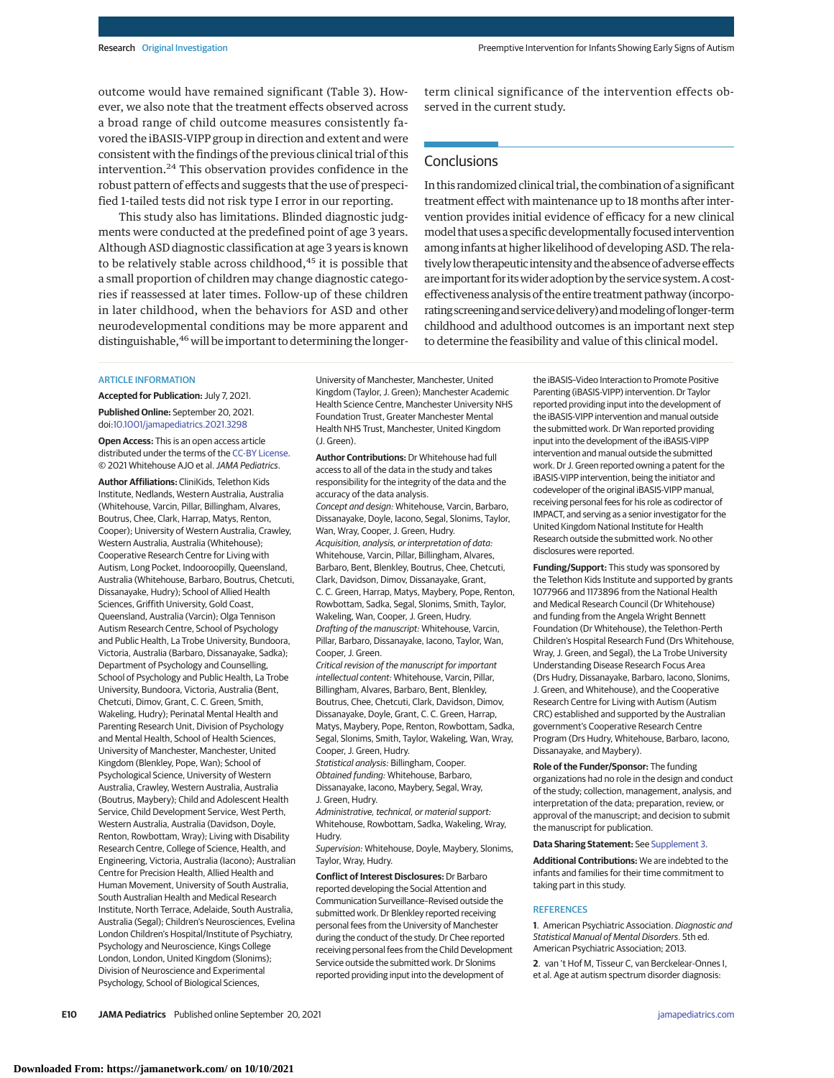outcome would have remained significant (Table 3). However, we also note that the treatment effects observed across a broad range of child outcome measures consistently favored the iBASIS-VIPP group in direction and extent and were consistent with the findings of the previous clinical trial of this intervention.<sup>24</sup> This observation provides confidence in the robust pattern of effects and suggests that the use of prespecified 1-tailed tests did not risk type I error in our reporting.

This study also has limitations. Blinded diagnostic judgments were conducted at the predefined point of age 3 years. Although ASD diagnostic classification at age 3 years is known to be relatively stable across childhood,<sup>45</sup> it is possible that a small proportion of children may change diagnostic categories if reassessed at later times. Follow-up of these children in later childhood, when the behaviors for ASD and other neurodevelopmental conditions may be more apparent and distinguishable, <sup>46</sup> will be important to determining the longer-

## **ARTICLE INFORMATION**

**Accepted for Publication:** July 7, 2021. **Published Online:** September 20, 2021. doi[:10.1001/jamapediatrics.2021.3298](https://jamanetwork.com/journals/jama/fullarticle/10.1001/jamapediatrics.2021.3298?utm_campaign=articlePDF%26utm_medium=articlePDFlink%26utm_source=articlePDF%26utm_content=jamapediatrics.2021.3298)

**Open Access:** This is an open access article distributed under the terms of the [CC-BY License.](https://jamanetwork.com/pages/cc-by-license-permissions?utm_campaign=articlePDF%26utm_medium=articlePDFlink%26utm_source=articlePDF%26utm_content=jamapediatrics.2021.3298) © 2021 Whitehouse AJO et al.JAMA Pediatrics.

**Author Affiliations:** CliniKids, Telethon Kids Institute, Nedlands, Western Australia, Australia (Whitehouse, Varcin, Pillar, Billingham, Alvares, Boutrus, Chee, Clark, Harrap, Matys, Renton, Cooper); University of Western Australia, Crawley, Western Australia, Australia (Whitehouse); Cooperative Research Centre for Living with Autism, Long Pocket, Indooroopilly, Queensland, Australia (Whitehouse, Barbaro, Boutrus, Chetcuti, Dissanayake, Hudry); School of Allied Health Sciences, Griffith University, Gold Coast, Queensland, Australia (Varcin); Olga Tennison Autism Research Centre, School of Psychology and Public Health, La Trobe University, Bundoora, Victoria, Australia (Barbaro, Dissanayake, Sadka); Department of Psychology and Counselling, School of Psychology and Public Health, La Trobe University, Bundoora, Victoria, Australia (Bent, Chetcuti, Dimov, Grant, C. C. Green, Smith, Wakeling, Hudry); Perinatal Mental Health and Parenting Research Unit, Division of Psychology and Mental Health, School of Health Sciences, University of Manchester, Manchester, United Kingdom (Blenkley, Pope, Wan); School of Psychological Science, University of Western Australia, Crawley, Western Australia, Australia (Boutrus, Maybery); Child and Adolescent Health Service, Child Development Service, West Perth, Western Australia, Australia (Davidson, Doyle, Renton, Rowbottam, Wray); Living with Disability Research Centre, College of Science, Health, and Engineering, Victoria, Australia (Iacono); Australian Centre for Precision Health, Allied Health and Human Movement, University of South Australia, South Australian Health and Medical Research Institute, North Terrace, Adelaide, South Australia, Australia (Segal); Children's Neurosciences, Evelina London Children's Hospital/Institute of Psychiatry, Psychology and Neuroscience, Kings College London, London, United Kingdom (Slonims); Division of Neuroscience and Experimental Psychology, School of Biological Sciences,

University of Manchester, Manchester, United Kingdom (Taylor, J. Green); Manchester Academic Health Science Centre, Manchester University NHS Foundation Trust, Greater Manchester Mental Health NHS Trust, Manchester, United Kingdom (J. Green).

**Author Contributions:** Dr Whitehouse had full access to all of the data in the study and takes responsibility for the integrity of the data and the accuracy of the data analysis. Concept and design: Whitehouse, Varcin, Barbaro, Dissanayake, Doyle, Iacono, Segal, Slonims, Taylor, Wan, Wray, Cooper, J. Green, Hudry. Acquisition, analysis, or interpretation of data: Whitehouse, Varcin, Pillar, Billingham, Alvares, Barbaro, Bent, Blenkley, Boutrus, Chee, Chetcuti, Clark, Davidson, Dimov, Dissanayake, Grant, C. C. Green, Harrap, Matys, Maybery, Pope, Renton, Rowbottam, Sadka, Segal, Slonims, Smith, Taylor, Wakeling, Wan, Cooper, J. Green, Hudry. Drafting of the manuscript: Whitehouse, Varcin, Pillar, Barbaro, Dissanayake, Iacono, Taylor, Wan, Cooper, J. Green.

Critical revision of the manuscript for important intellectual content: Whitehouse, Varcin, Pillar, Billingham, Alvares, Barbaro, Bent, Blenkley, Boutrus, Chee, Chetcuti, Clark, Davidson, Dimov, Dissanayake, Doyle, Grant, C. C. Green, Harrap, Matys, Maybery, Pope, Renton, Rowbottam, Sadka, Segal, Slonims, Smith, Taylor, Wakeling, Wan, Wray, Cooper, J. Green, Hudry.

Statistical analysis: Billingham, Cooper. Obtained funding: Whitehouse, Barbaro, Dissanayake, Iacono, Maybery, Segal, Wray, J. Green, Hudry.

Administrative, technical, or material support: Whitehouse, Rowbottam, Sadka, Wakeling, Wray, Hudry.

Supervision: Whitehouse, Doyle, Maybery, Slonims, Taylor, Wray, Hudry.

**Conflict of Interest Disclosures:** Dr Barbaro reported developing the Social Attention and Communication Surveillance–Revised outside the submitted work. Dr Blenkley reported receiving personal fees from the University of Manchester during the conduct of the study. Dr Chee reported receiving personal fees from the Child Development Service outside the submitted work. Dr Slonims reported providing input into the development of

term clinical significance of the intervention effects observed in the current study.

# **Conclusions**

In this randomized clinical trial, the combination of a significant treatment effect with maintenance up to 18 months after intervention provides initial evidence of efficacy for a new clinical model that uses a specific developmentally focused intervention among infants at higher likelihood of developing ASD. The relatively low therapeutic intensity and the absence of adverse effects are important for its wider adoption by the service system. A costeffectiveness analysis of the entire treatment pathway (incorporating screening and service delivery) and modeling of longer-term childhood and adulthood outcomes is an important next step to determine the feasibility and value of this clinical model.

> the iBASIS–Video Interaction to Promote Positive Parenting (iBASIS-VIPP) intervention. Dr Taylor reported providing input into the development of the iBASIS-VIPP intervention and manual outside the submitted work. Dr Wan reported providing input into the development of the iBASIS-VIPP intervention and manual outside the submitted work. Dr J. Green reported owning a patent for the iBASIS-VIPP intervention, being the initiator and codeveloper of the original iBASIS-VIPP manual, receiving personal fees for his role as codirector of IMPACT, and serving as a senior investigator for the United Kingdom National Institute for Health Research outside the submitted work. No other disclosures were reported.

**Funding/Support:** This study was sponsored by the Telethon Kids Institute and supported by grants 1077966 and 1173896 from the National Health and Medical Research Council (Dr Whitehouse) and funding from the Angela Wright Bennett Foundation (Dr Whitehouse), the Telethon-Perth Children's Hospital Research Fund (Drs Whitehouse, Wray, J. Green, and Segal), the La Trobe University Understanding Disease Research Focus Area (Drs Hudry, Dissanayake, Barbaro, Iacono, Slonims, J. Green, and Whitehouse), and the Cooperative Research Centre for Living with Autism (Autism CRC) established and supported by the Australian government's Cooperative Research Centre Program (Drs Hudry, Whitehouse, Barbaro, Iacono, Dissanayake, and Maybery).

**Role of the Funder/Sponsor:** The funding organizations had no role in the design and conduct of the study; collection, management, analysis, and interpretation of the data; preparation, review, or approval of the manuscript; and decision to submit the manuscript for publication.

#### **Data Sharing Statement:** See [Supplement 3.](https://jamanetwork.com/journals/jama/fullarticle/10.1001/jamapediatrics.2021.3298?utm_campaign=articlePDF%26utm_medium=articlePDFlink%26utm_source=articlePDF%26utm_content=jamapediatrics.2021.3298)

**Additional Contributions:** We are indebted to the infants and families for their time commitment to taking part in this study.

#### **REFERENCES**

**1**. American Psychiatric Association. Diagnostic and Statistical Manual of Mental Disorders. 5th ed. American Psychiatric Association; 2013.

**2**. van 't Hof M, Tisseur C, van Berckelear-Onnes I, et al. Age at autism spectrum disorder diagnosis: